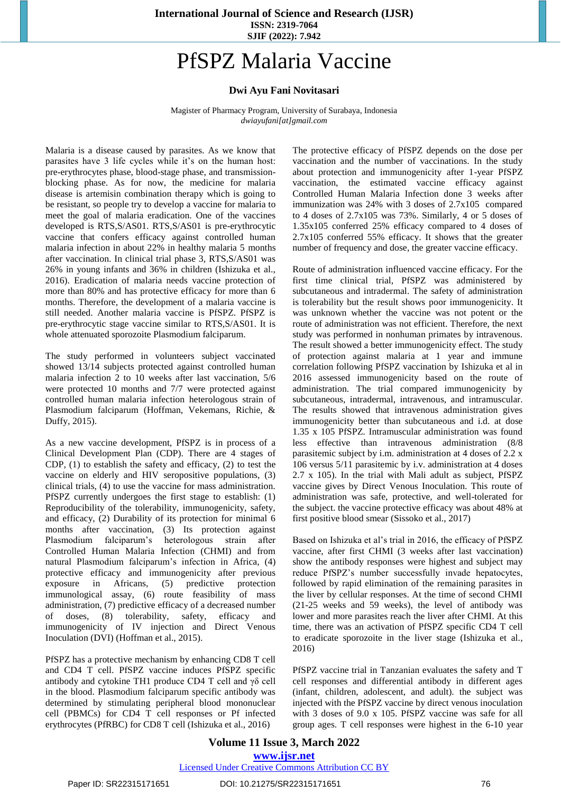**International Journal of Science and Research (IJSR) ISSN: 2319-7064 SJIF (2022): 7.942**

## PfSPZ Malaria Vaccine

## **Dwi Ayu Fani Novitasari**

Magister of Pharmacy Program, University of Surabaya, Indonesia *dwiayufani[at]gmail.com*

Malaria is a disease caused by parasites. As we know that parasites have 3 life cycles while it's on the human host: pre-erythrocytes phase, blood-stage phase, and transmissionblocking phase. As for now, the medicine for malaria disease is artemisin combination therapy which is going to be resistant, so people try to develop a vaccine for malaria to meet the goal of malaria eradication. One of the vaccines developed is RTS,S/AS01. RTS,S/AS01 is pre-erythrocytic vaccine that confers efficacy against controlled human malaria infection in about 22% in healthy malaria 5 months after vaccination. In clinical trial phase 3, RTS,S/AS01 was 26% in young infants and 36% in children (Ishizuka et al., 2016). Eradication of malaria needs vaccine protection of more than 80% and has protective efficacy for more than 6 months. Therefore, the development of a malaria vaccine is still needed. Another malaria vaccine is PfSPZ. PfSPZ is pre-erythrocytic stage vaccine similar to RTS,S/AS01. It is whole attenuated sporozoite Plasmodium falciparum.

The study performed in volunteers subject vaccinated showed 13/14 subjects protected against controlled human malaria infection 2 to 10 weeks after last vaccination, 5/6 were protected 10 months and 7/7 were protected against controlled human malaria infection heterologous strain of Plasmodium falciparum (Hoffman, Vekemans, Richie, & Duffy, 2015).

As a new vaccine development, PfSPZ is in process of a Clinical Development Plan (CDP). There are 4 stages of CDP, (1) to establish the safety and efficacy, (2) to test the vaccine on elderly and HIV seropositive populations, (3) clinical trials, (4) to use the vaccine for mass administration. PfSPZ currently undergoes the first stage to establish: (1) Reproducibility of the tolerability, immunogenicity, safety, and efficacy, (2) Durability of its protection for minimal 6 months after vaccination, (3) Its protection against Plasmodium falciparum's heterologous strain after Controlled Human Malaria Infection (CHMI) and from natural Plasmodium falciparum's infection in Africa, (4) protective efficacy and immunogenicity after previous exposure in Africans, (5) predictive protection immunological assay, (6) route feasibility of mass administration, (7) predictive efficacy of a decreased number of doses, (8) tolerability, safety, efficacy and immunogenicity of IV injection and Direct Venous Inoculation (DVI) (Hoffman et al., 2015).

PfSPZ has a protective mechanism by enhancing CD8 T cell and CD4 T cell. PfSPZ vaccine induces PfSPZ specific antibody and cytokine TH1 produce CD4 T cell and γδ cell in the blood. Plasmodium falciparum specific antibody was determined by stimulating peripheral blood mononuclear cell (PBMCs) for CD4 T cell responses or Pf infected erythrocytes (PfRBC) for CD8 T cell (Ishizuka et al., 2016)

The protective efficacy of PfSPZ depends on the dose per vaccination and the number of vaccinations. In the study about protection and immunogenicity after 1-year PfSPZ vaccination, the estimated vaccine efficacy against Controlled Human Malaria Infection done 3 weeks after immunization was 24% with 3 doses of 2.7x105 compared to 4 doses of 2.7x105 was 73%. Similarly, 4 or 5 doses of 1.35x105 conferred 25% efficacy compared to 4 doses of 2.7x105 conferred 55% efficacy. It shows that the greater number of frequency and dose, the greater vaccine efficacy.

Route of administration influenced vaccine efficacy. For the first time clinical trial, PfSPZ was administered by subcutaneous and intradermal. The safety of administration is tolerability but the result shows poor immunogenicity. It was unknown whether the vaccine was not potent or the route of administration was not efficient. Therefore, the next study was performed in nonhuman primates by intravenous. The result showed a better immunogenicity effect. The study of protection against malaria at 1 year and immune correlation following PfSPZ vaccination by Ishizuka et al in 2016 assessed immunogenicity based on the route of administration. The trial compared immunogenicity by subcutaneous, intradermal, intravenous, and intramuscular. The results showed that intravenous administration gives immunogenicity better than subcutaneous and i.d. at dose 1.35 x 105 PfSPZ. Intramuscular administration was found less effective than intravenous administration (8/8 parasitemic subject by i.m. administration at 4 doses of 2.2 x 106 versus 5/11 parasitemic by i.v. administration at 4 doses 2.7 x 105). In the trial with Mali adult as subject, PfSPZ vaccine gives by Direct Venous Inoculation. This route of administration was safe, protective, and well-tolerated for the subject. the vaccine protective efficacy was about 48% at first positive blood smear (Sissoko et al., 2017)

Based on Ishizuka et al's trial in 2016, the efficacy of PfSPZ vaccine, after first CHMI (3 weeks after last vaccination) show the antibody responses were highest and subject may reduce PfSPZ's number successfully invade hepatocytes, followed by rapid elimination of the remaining parasites in the liver by cellular responses. At the time of second CHMI (21-25 weeks and 59 weeks), the level of antibody was lower and more parasites reach the liver after CHMI. At this time, there was an activation of PfSPZ specific CD4 T cell to eradicate sporozoite in the liver stage (Ishizuka et al., 2016)

PfSPZ vaccine trial in Tanzanian evaluates the safety and T cell responses and differential antibody in different ages (infant, children, adolescent, and adult). the subject was injected with the PfSPZ vaccine by direct venous inoculation with 3 doses of 9.0 x 105. PfSPZ vaccine was safe for all group ages. T cell responses were highest in the 6-10 year

## **Volume 11 Issue 3, March 2022 www.ijsr.net** Licensed Under Creative Commons Attribution CC BY

Paper ID: SR22315171651 DOI: 10.21275/SR22315171651 76